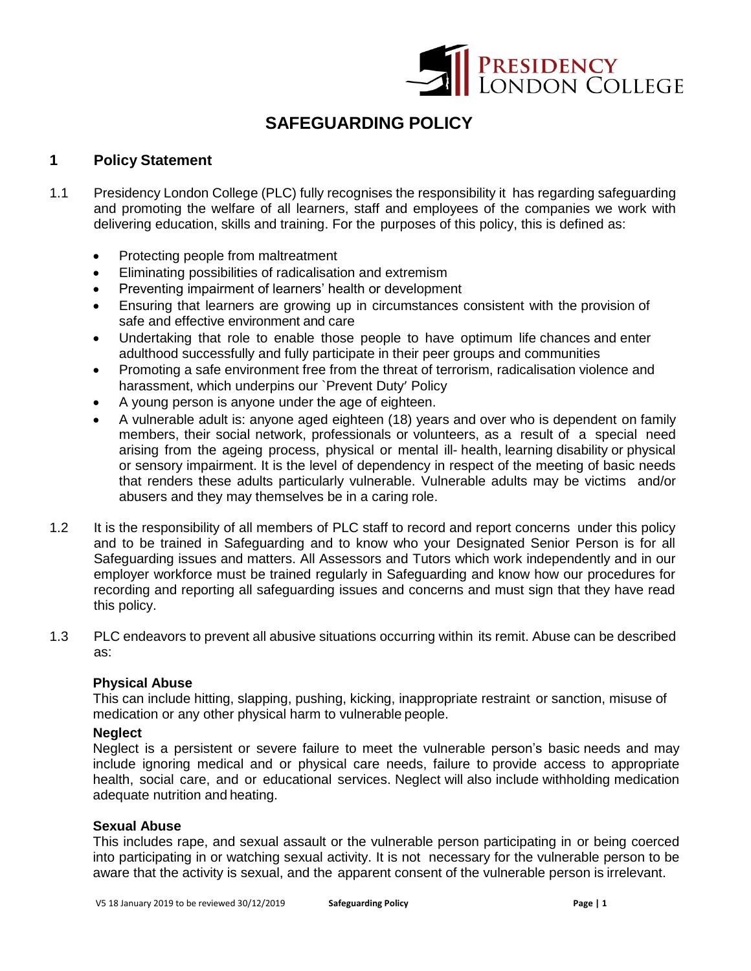

# **SAFEGUARDING POLICY**

## **1 Policy Statement**

- 1.1 Presidency London College (PLC) fully recognises the responsibility it has regarding safeguarding and promoting the welfare of all learners, staff and employees of the companies we work with delivering education, skills and training. For the purposes of this policy, this is defined as:
	- Protecting people from maltreatment
	- Eliminating possibilities of radicalisation and extremism
	- Preventing impairment of learners' health or development
	- Ensuring that learners are growing up in circumstances consistent with the provision of safe and effective environment and care
	- Undertaking that role to enable those people to have optimum life chances and enter adulthood successfully and fully participate in their peer groups and communities
	- Promoting a safe environment free from the threat of terrorism, radicalisation violence and harassment, which underpins our `Prevent Duty' Policy
	- A young person is anyone under the age of eighteen.
	- A vulnerable adult is: anyone aged eighteen (18) years and over who is dependent on family members, their social network, professionals or volunteers, as a result of a special need arising from the ageing process, physical or mental ill- health, learning disability or physical or sensory impairment. It is the level of dependency in respect of the meeting of basic needs that renders these adults particularly vulnerable. Vulnerable adults may be victims and/or abusers and they may themselves be in a caring role.
- 1.2 It is the responsibility of all members of PLC staff to record and report concerns under this policy and to be trained in Safeguarding and to know who your Designated Senior Person is for all Safeguarding issues and matters. All Assessors and Tutors which work independently and in our employer workforce must be trained regularly in Safeguarding and know how our procedures for recording and reporting all safeguarding issues and concerns and must sign that they have read this policy.
- 1.3 PLC endeavors to prevent all abusive situations occurring within its remit. Abuse can be described as:

#### **Physical Abuse**

This can include hitting, slapping, pushing, kicking, inappropriate restraint or sanction, misuse of medication or any other physical harm to vulnerable people.

#### **Neglect**

Neglect is a persistent or severe failure to meet the vulnerable person's basic needs and may include ignoring medical and or physical care needs, failure to provide access to appropriate health, social care, and or educational services. Neglect will also include withholding medication adequate nutrition and heating.

### **Sexual Abuse**

This includes rape, and sexual assault or the vulnerable person participating in or being coerced into participating in or watching sexual activity. It is not necessary for the vulnerable person to be aware that the activity is sexual, and the apparent consent of the vulnerable person is irrelevant.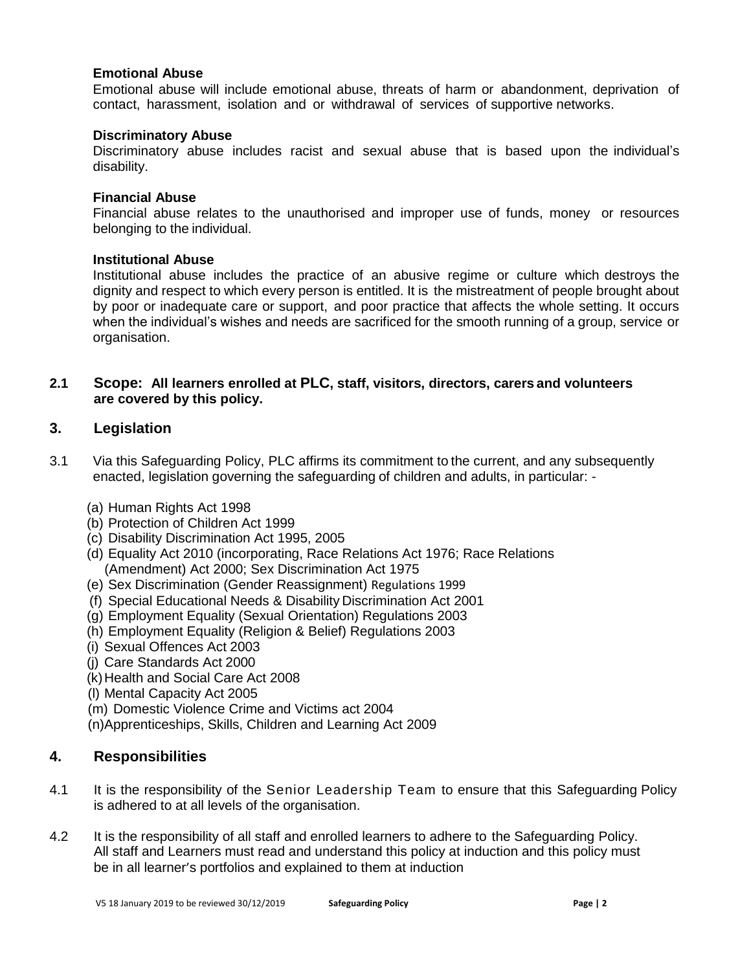#### **Emotional Abuse**

Emotional abuse will include emotional abuse, threats of harm or abandonment, deprivation of contact, harassment, isolation and or withdrawal of services of supportive networks.

### **Discriminatory Abuse**

Discriminatory abuse includes racist and sexual abuse that is based upon the individual's disability.

#### **Financial Abuse**

Financial abuse relates to the unauthorised and improper use of funds, money or resources belonging to the individual.

### **Institutional Abuse**

Institutional abuse includes the practice of an abusive regime or culture which destroys the dignity and respect to which every person is entitled. It is the mistreatment of people brought about by poor or inadequate care or support, and poor practice that affects the whole setting. It occurs when the individual's wishes and needs are sacrificed for the smooth running of a group, service or organisation.

## **2.1 Scope: All learners enrolled at PLC, staff, visitors, directors, carers and volunteers are covered by this policy.**

## **3. Legislation**

- 3.1 Via this Safeguarding Policy, PLC affirms its commitment to the current, and any subsequently enacted, legislation governing the safeguarding of children and adults, in particular: -
	- (a) Human Rights Act 1998
	- (b) Protection of Children Act 1999
	- (c) Disability Discrimination Act 1995, 2005
	- (d) Equality Act 2010 (incorporating, Race Relations Act 1976; Race Relations (Amendment) Act 2000; Sex Discrimination Act 1975
	- (e) Sex Discrimination (Gender Reassignment) Regulations 1999
	- (f) Special Educational Needs & Disability Discrimination Act 2001
	- (g) Employment Equality (Sexual Orientation) Regulations 2003
	- (h) Employment Equality (Religion & Belief) Regulations 2003
	- (i) Sexual Offences Act 2003
	- (j) Care Standards Act 2000
	- (k)Health and Social Care Act 2008
	- (l) Mental Capacity Act 2005
	- (m) Domestic Violence Crime and Victims act 2004
	- (n)Apprenticeships, Skills, Children and Learning Act 2009

## **4. Responsibilities**

- 4.1 It is the responsibility of the Senior Leadership Team to ensure that this Safeguarding Policy is adhered to at all levels of the organisation.
- 4.2 It is the responsibility of all staff and enrolled learners to adhere to the Safeguarding Policy. All staff and Learners must read and understand this policy at induction and this policy must be in all learner's portfolios and explained to them at induction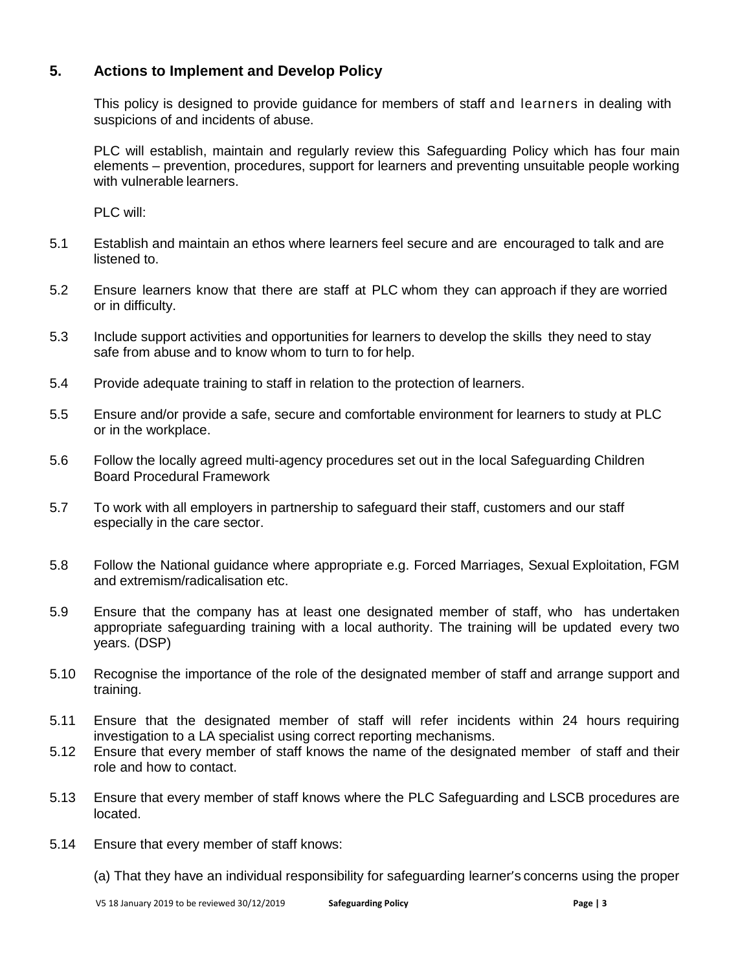# **5. Actions to Implement and Develop Policy**

This policy is designed to provide guidance for members of staff and learners in dealing with suspicions of and incidents of abuse.

PLC will establish, maintain and regularly review this Safeguarding Policy which has four main elements – prevention, procedures, support for learners and preventing unsuitable people working with vulnerable learners.

PLC will:

- 5.1 Establish and maintain an ethos where learners feel secure and are encouraged to talk and are listened to.
- 5.2 Ensure learners know that there are staff at PLC whom they can approach if they are worried or in difficulty.
- 5.3 Include support activities and opportunities for learners to develop the skills they need to stay safe from abuse and to know whom to turn to for help.
- 5.4 Provide adequate training to staff in relation to the protection of learners.
- 5.5 Ensure and/or provide a safe, secure and comfortable environment for learners to study at PLC or in the workplace.
- 5.6 Follow the locally agreed multi-agency procedures set out in the local Safeguarding Children Board Procedural Framework
- 5.7 To work with all employers in partnership to safeguard their staff, customers and our staff especially in the care sector.
- 5.8 Follow the National guidance where appropriate e.g. Forced Marriages, Sexual Exploitation, FGM and extremism/radicalisation etc.
- 5.9 Ensure that the company has at least one designated member of staff, who has undertaken appropriate safeguarding training with a local authority. The training will be updated every two years. (DSP)
- 5.10 Recognise the importance of the role of the designated member of staff and arrange support and training.
- 5.11 Ensure that the designated member of staff will refer incidents within 24 hours requiring investigation to a LA specialist using correct reporting mechanisms.
- 5.12 Ensure that every member of staff knows the name of the designated member of staff and their role and how to contact.
- 5.13 Ensure that every member of staff knows where the PLC Safeguarding and LSCB procedures are located.
- 5.14 Ensure that every member of staff knows:

(a) That they have an individual responsibility for safeguarding learner's concerns using the proper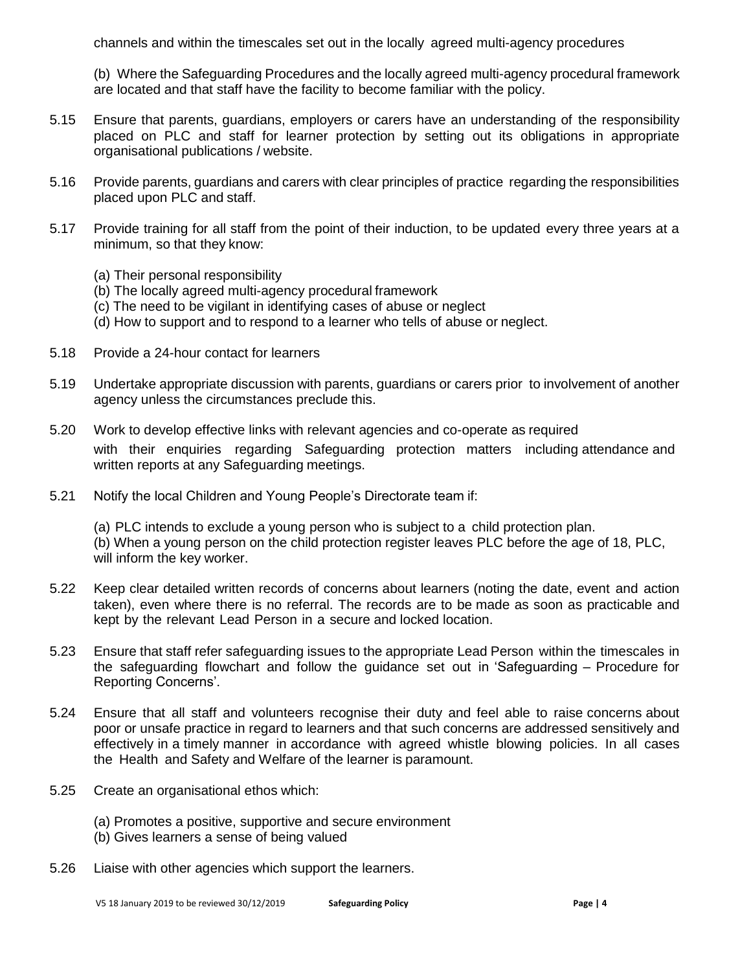channels and within the timescales set out in the locally agreed multi-agency procedures

(b) Where the Safeguarding Procedures and the locally agreed multi-agency procedural framework are located and that staff have the facility to become familiar with the policy.

- 5.15 Ensure that parents, guardians, employers or carers have an understanding of the responsibility placed on PLC and staff for learner protection by setting out its obligations in appropriate organisational publications / website.
- 5.16 Provide parents, guardians and carers with clear principles of practice regarding the responsibilities placed upon PLC and staff.
- 5.17 Provide training for all staff from the point of their induction, to be updated every three years at a minimum, so that they know:
	- (a) Their personal responsibility
	- (b) The locally agreed multi-agency procedural framework
	- (c) The need to be vigilant in identifying cases of abuse or neglect
	- (d) How to support and to respond to a learner who tells of abuse or neglect.
- 5.18 Provide a 24-hour contact for learners
- 5.19 Undertake appropriate discussion with parents, guardians or carers prior to involvement of another agency unless the circumstances preclude this.
- 5.20 Work to develop effective links with relevant agencies and co-operate as required with their enquiries regarding Safeguarding protection matters including attendance and written reports at any Safeguarding meetings.
- 5.21 Notify the local Children and Young People's Directorate team if:

(a) PLC intends to exclude a young person who is subject to a child protection plan. (b) When a young person on the child protection register leaves PLC before the age of 18, PLC, will inform the key worker.

- 5.22 Keep clear detailed written records of concerns about learners (noting the date, event and action taken), even where there is no referral. The records are to be made as soon as practicable and kept by the relevant Lead Person in a secure and locked location.
- 5.23 Ensure that staff refer safeguarding issues to the appropriate Lead Person within the timescales in the safeguarding flowchart and follow the guidance set out in 'Safeguarding – Procedure for Reporting Concerns'.
- 5.24 Ensure that all staff and volunteers recognise their duty and feel able to raise concerns about poor or unsafe practice in regard to learners and that such concerns are addressed sensitively and effectively in a timely manner in accordance with agreed whistle blowing policies. In all cases the Health and Safety and Welfare of the learner is paramount.
- 5.25 Create an organisational ethos which:
	- (a) Promotes a positive, supportive and secure environment
	- (b) Gives learners a sense of being valued
- 5.26 Liaise with other agencies which support the learners.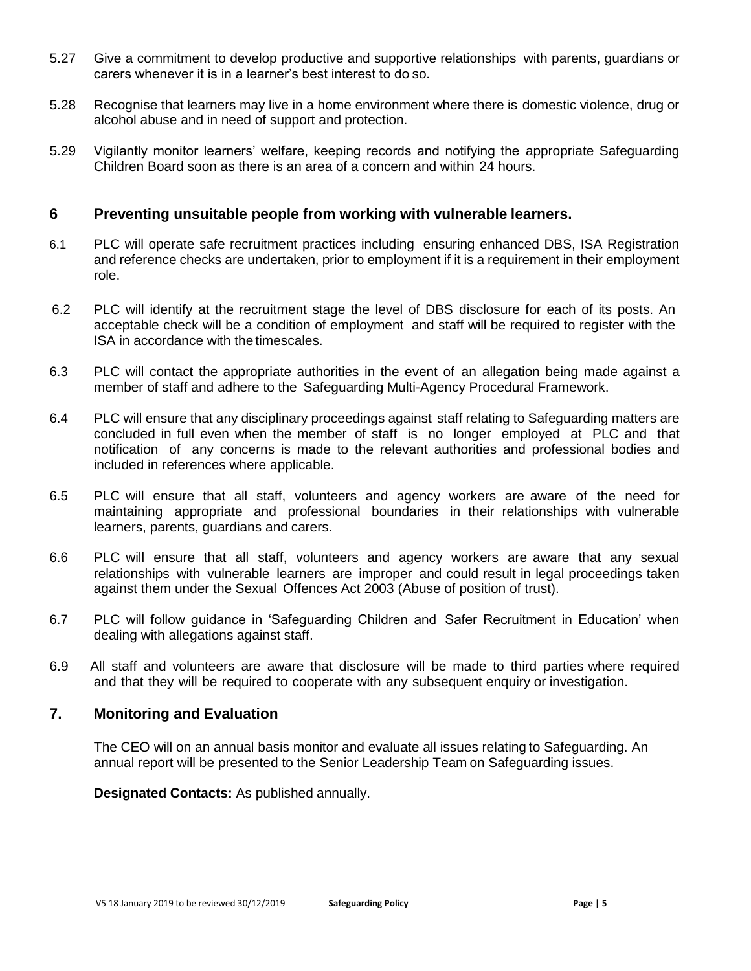- 5.27 Give a commitment to develop productive and supportive relationships with parents, guardians or carers whenever it is in a learner's best interest to do so.
- 5.28 Recognise that learners may live in a home environment where there is domestic violence, drug or alcohol abuse and in need of support and protection.
- 5.29 Vigilantly monitor learners' welfare, keeping records and notifying the appropriate Safeguarding Children Board soon as there is an area of a concern and within 24 hours.

## **6 Preventing unsuitable people from working with vulnerable learners.**

- 6.1 PLC will operate safe recruitment practices including ensuring enhanced DBS, ISA Registration and reference checks are undertaken, prior to employment if it is a requirement in their employment role.
- 6.2 PLC will identify at the recruitment stage the level of DBS disclosure for each of its posts. An acceptable check will be a condition of employment and staff will be required to register with the ISA in accordance with the timescales.
- 6.3 PLC will contact the appropriate authorities in the event of an allegation being made against a member of staff and adhere to the Safeguarding Multi-Agency Procedural Framework.
- 6.4 PLC will ensure that any disciplinary proceedings against staff relating to Safeguarding matters are concluded in full even when the member of staff is no longer employed at PLC and that notification of any concerns is made to the relevant authorities and professional bodies and included in references where applicable.
- 6.5 PLC will ensure that all staff, volunteers and agency workers are aware of the need for maintaining appropriate and professional boundaries in their relationships with vulnerable learners, parents, guardians and carers.
- 6.6 PLC will ensure that all staff, volunteers and agency workers are aware that any sexual relationships with vulnerable learners are improper and could result in legal proceedings taken against them under the Sexual Offences Act 2003 (Abuse of position of trust).
- 6.7 PLC will follow guidance in 'Safeguarding Children and Safer Recruitment in Education' when dealing with allegations against staff.
- 6.9 All staff and volunteers are aware that disclosure will be made to third parties where required and that they will be required to cooperate with any subsequent enquiry or investigation.

## **7. Monitoring and Evaluation**

The CEO will on an annual basis monitor and evaluate all issues relating to Safeguarding. An annual report will be presented to the Senior Leadership Team on Safeguarding issues.

**Designated Contacts:** As published annually.